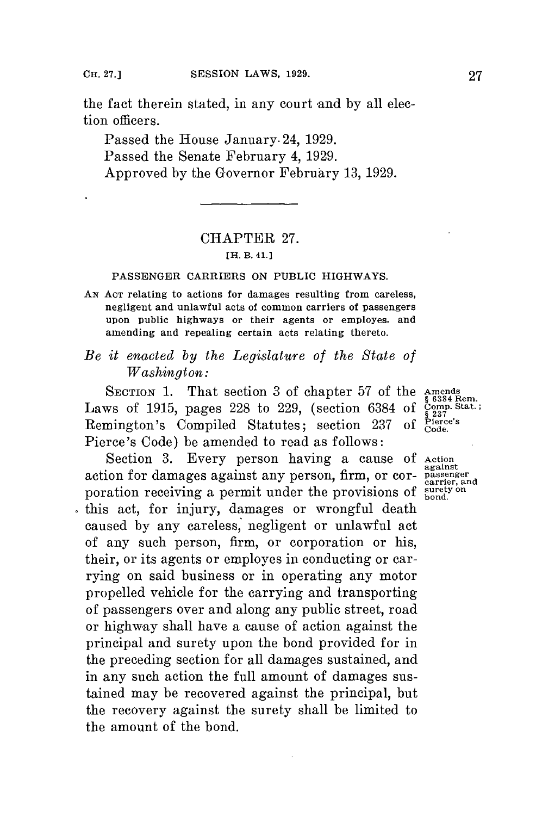the fact therein stated, in any court and by all election officers.

Passed the House January. 24, **1929.** Passed the Senate February 4, **1929.** Approved **by** the Governor February **13, 1929.**

# CHAPTER **27.**

#### **[H. B. 41.)**

## **PASSENGER CARRIERS ON PUBLIC HIGHWAYS.**

- **AN ACT relating to actions for damages resulting from careless, negligent and unlawful acts of common carriers of passengers upon public highways or their agents or employes, and amending and repealing certain acts relating thereto.**
- *Be it enacted by the Legislature of the State of Washington:*

SECTION 1. That section 3 of chapter 57 of the Amends as 6384 Rem.<br>
WS of 1915, pages 228 to 229, (section 6384 of  $\frac{\text{Compl}}{\$237}$ Laws of 1915, pages 228 to 229, (section 6384 of  $\frac{500005}{5237}$  **Remington's Compiled Statutes**; section 237 of Pierce's Remington's Compiled Statutes; section 237 of Pierce's Code) be amended to read as follows:

Section **3.** Every person having a cause **of Action** action for damages against any person, firm, or cor- passenger poration receiving a permit under the provisions of surfer, and this act, for injury, damages or wrongful death caused **by** any careless, negligent or unlawful act of any such person, firm, or corporation or his, their, or its agents or employes in conducting or carrying on said business or in operating any motor propelled vehicle for the carrying and transporting of passengers over and along any public street, road or highway shall have a cause of action against the principal and surety upon the bond provided for in the preceding section for all damages sustained, and in any such action the full amount of damages sustained may be recovered against the principal, but the recovery against the surety shall be limited to the amount of the bond.